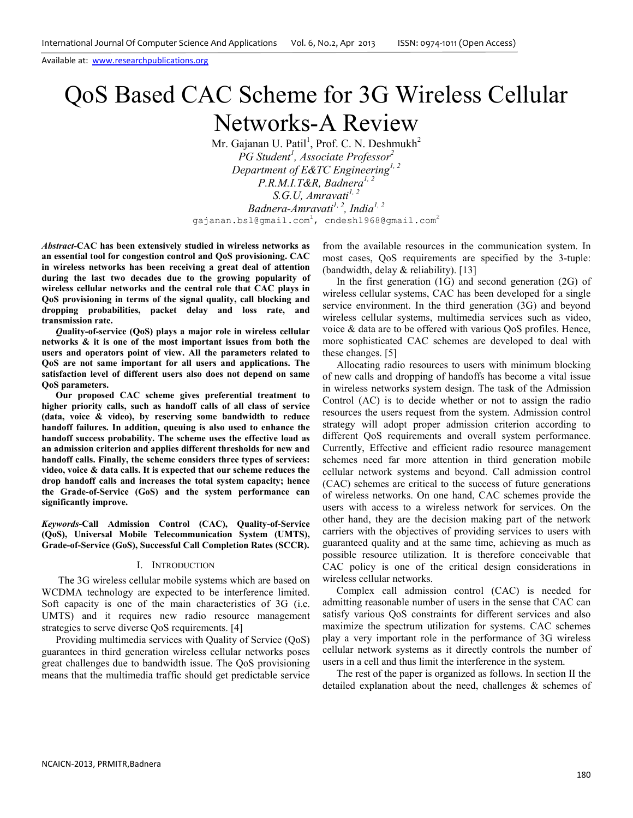# QoS Based CAC Scheme for 3G Wireless Cellular Networks-A Review

Mr. Gajanan U. Patil<sup>1</sup>, Prof. C. N. Deshmukh<sup>2</sup> *PG Student<sup>1</sup> , Associate Professor<sup>2</sup> Department of E&TC Engineering1, 2 P.R.M.I.T&R, Badnera1, 2 S.G.U, Amravati1, 2 Badnera-Amravati1, 2, India1, 2* gajanan.bsl@gmail.com<sup>1</sup>, cndesh1968@gmail.com<sup>2</sup>

*Abstract-***CAC has been extensively studied in wireless networks as an essential tool for congestion control and QoS provisioning. CAC in wireless networks has been receiving a great deal of attention during the last two decades due to the growing popularity of wireless cellular networks and the central role that CAC plays in QoS provisioning in terms of the signal quality, call blocking and dropping probabilities, packet delay and loss rate, and transmission rate.** 

*Q***uality-of-service (QoS) plays a major role in wireless cellular networks & it is one of the most important issues from both the users and operators point of view. All the parameters related to QoS are not same important for all users and applications. The satisfaction level of different users also does not depend on same QoS parameters.** 

**Our proposed CAC scheme gives preferential treatment to higher priority calls, such as handoff calls of all class of service (data, voice & video), by reserving some bandwidth to reduce handoff failures. In addition, queuing is also used to enhance the handoff success probability. The scheme uses the effective load as an admission criterion and applies different thresholds for new and handoff calls. Finally, the scheme considers three types of services: video, voice & data calls. It is expected that our scheme reduces the drop handoff calls and increases the total system capacity; hence the Grade-of-Service (GoS) and the system performance can significantly improve.** 

*Keywords***-Call Admission Control (CAC), Quality-of-Service (QoS), Universal Mobile Telecommunication System (UMTS), Grade-of-Service (GoS), Successful Call Completion Rates (SCCR).** 

#### I. INTRODUCTION

 The 3G wireless cellular mobile systems which are based on WCDMA technology are expected to be interference limited. Soft capacity is one of the main characteristics of 3G (i.e. UMTS) and it requires new radio resource management strategies to serve diverse QoS requirements. [4]

Providing multimedia services with Quality of Service (QoS) guarantees in third generation wireless cellular networks poses great challenges due to bandwidth issue. The QoS provisioning means that the multimedia traffic should get predictable service from the available resources in the communication system. In most cases, QoS requirements are specified by the 3-tuple: (bandwidth, delay & reliability). [13]

In the first generation (1G) and second generation (2G) of wireless cellular systems, CAC has been developed for a single service environment. In the third generation (3G) and beyond wireless cellular systems, multimedia services such as video, voice & data are to be offered with various QoS profiles. Hence, more sophisticated CAC schemes are developed to deal with these changes. [5]

Allocating radio resources to users with minimum blocking of new calls and dropping of handoffs has become a vital issue in wireless networks system design. The task of the Admission Control (AC) is to decide whether or not to assign the radio resources the users request from the system. Admission control strategy will adopt proper admission criterion according to different QoS requirements and overall system performance. Currently, Effective and efficient radio resource management schemes need far more attention in third generation mobile cellular network systems and beyond. Call admission control (CAC) schemes are critical to the success of future generations of wireless networks. On one hand, CAC schemes provide the users with access to a wireless network for services. On the other hand, they are the decision making part of the network carriers with the objectives of providing services to users with guaranteed quality and at the same time, achieving as much as possible resource utilization. It is therefore conceivable that CAC policy is one of the critical design considerations in wireless cellular networks.

 Complex call admission control (CAC) is needed for admitting reasonable number of users in the sense that CAC can satisfy various QoS constraints for different services and also maximize the spectrum utilization for systems. CAC schemes play a very important role in the performance of 3G wireless cellular network systems as it directly controls the number of users in a cell and thus limit the interference in the system.

The rest of the paper is organized as follows. In section II the detailed explanation about the need, challenges & schemes of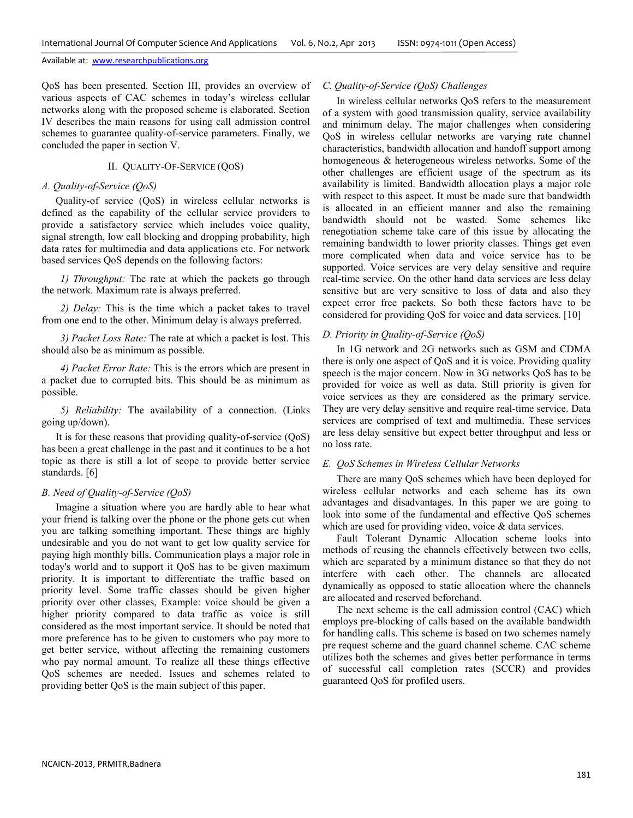QoS has been presented. Section III, provides an overview of various aspects of CAC schemes in today's wireless cellular networks along with the proposed scheme is elaborated. Section IV describes the main reasons for using call admission control schemes to guarantee quality-of-service parameters. Finally, we concluded the paper in section V.

## II. QUALITY-OF-SERVICE (QOS)

# *A. Quality-of-Service (QoS)*

Quality-of service (QoS) in wireless cellular networks is defined as the capability of the cellular service providers to provide a satisfactory service which includes voice quality, signal strength, low call blocking and dropping probability, high data rates for multimedia and data applications etc. For network based services QoS depends on the following factors:

*1) Throughput:* The rate at which the packets go through the network. Maximum rate is always preferred.

*2) Delay:* This is the time which a packet takes to travel from one end to the other. Minimum delay is always preferred.

*3) Packet Loss Rate:* The rate at which a packet is lost. This should also be as minimum as possible.

*4) Packet Error Rate:* This is the errors which are present in a packet due to corrupted bits. This should be as minimum as possible.

*5) Reliability:* The availability of a connection. (Links going up/down).

It is for these reasons that providing quality-of-service (QoS) has been a great challenge in the past and it continues to be a hot topic as there is still a lot of scope to provide better service standards. [6]

## *B. Need of Quality-of-Service (QoS)*

Imagine a situation where you are hardly able to hear what your friend is talking over the phone or the phone gets cut when you are talking something important. These things are highly undesirable and you do not want to get low quality service for paying high monthly bills. Communication plays a major role in today's world and to support it QoS has to be given maximum priority. It is important to differentiate the traffic based on priority level. Some traffic classes should be given higher priority over other classes, Example: voice should be given a higher priority compared to data traffic as voice is still considered as the most important service. It should be noted that more preference has to be given to customers who pay more to get better service, without affecting the remaining customers who pay normal amount. To realize all these things effective QoS schemes are needed. Issues and schemes related to providing better QoS is the main subject of this paper.

# *C. Quality-of-Service (QoS) Challenges*

In wireless cellular networks QoS refers to the measurement of a system with good transmission quality, service availability and minimum delay. The major challenges when considering QoS in wireless cellular networks are varying rate channel characteristics, bandwidth allocation and handoff support among homogeneous & heterogeneous wireless networks. Some of the other challenges are efficient usage of the spectrum as its availability is limited. Bandwidth allocation plays a major role with respect to this aspect. It must be made sure that bandwidth is allocated in an efficient manner and also the remaining bandwidth should not be wasted. Some schemes like renegotiation scheme take care of this issue by allocating the remaining bandwidth to lower priority classes. Things get even more complicated when data and voice service has to be supported. Voice services are very delay sensitive and require real-time service. On the other hand data services are less delay sensitive but are very sensitive to loss of data and also they expect error free packets. So both these factors have to be considered for providing QoS for voice and data services. [10]

## *D. Priority in Quality-of-Service (QoS)*

In 1G network and 2G networks such as GSM and CDMA there is only one aspect of QoS and it is voice. Providing quality speech is the major concern. Now in 3G networks QoS has to be provided for voice as well as data. Still priority is given for voice services as they are considered as the primary service. They are very delay sensitive and require real-time service. Data services are comprised of text and multimedia. These services are less delay sensitive but expect better throughput and less or no loss rate.

## *E. QoS Schemes in Wireless Cellular Networks*

There are many QoS schemes which have been deployed for wireless cellular networks and each scheme has its own advantages and disadvantages. In this paper we are going to look into some of the fundamental and effective QoS schemes which are used for providing video, voice & data services.

Fault Tolerant Dynamic Allocation scheme looks into methods of reusing the channels effectively between two cells, which are separated by a minimum distance so that they do not interfere with each other. The channels are allocated dynamically as opposed to static allocation where the channels are allocated and reserved beforehand.

The next scheme is the call admission control (CAC) which employs pre-blocking of calls based on the available bandwidth for handling calls. This scheme is based on two schemes namely pre request scheme and the guard channel scheme. CAC scheme utilizes both the schemes and gives better performance in terms of successful call completion rates (SCCR) and provides guaranteed QoS for profiled users.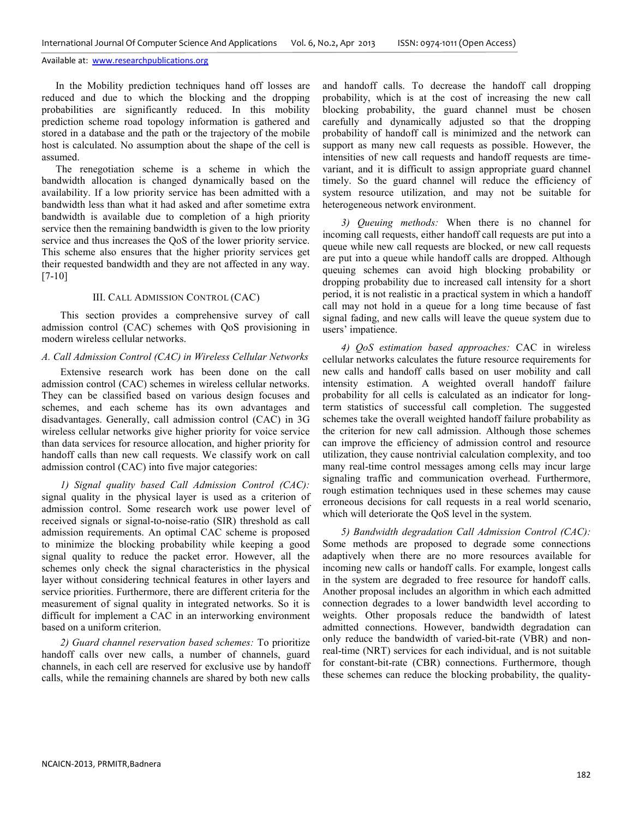In the Mobility prediction techniques hand off losses are reduced and due to which the blocking and the dropping probabilities are significantly reduced. In this mobility prediction scheme road topology information is gathered and stored in a database and the path or the trajectory of the mobile host is calculated. No assumption about the shape of the cell is assumed.

The renegotiation scheme is a scheme in which the bandwidth allocation is changed dynamically based on the availability. If a low priority service has been admitted with a bandwidth less than what it had asked and after sometime extra bandwidth is available due to completion of a high priority service then the remaining bandwidth is given to the low priority service and thus increases the QoS of the lower priority service. This scheme also ensures that the higher priority services get their requested bandwidth and they are not affected in any way. [7-10]

#### III. CALL ADMISSION CONTROL (CAC)

This section provides a comprehensive survey of call admission control (CAC) schemes with QoS provisioning in modern wireless cellular networks.

## *A. Call Admission Control (CAC) in Wireless Cellular Networks*

Extensive research work has been done on the call admission control (CAC) schemes in wireless cellular networks. They can be classified based on various design focuses and schemes, and each scheme has its own advantages and disadvantages. Generally, call admission control (CAC) in 3G wireless cellular networks give higher priority for voice service than data services for resource allocation, and higher priority for handoff calls than new call requests. We classify work on call admission control (CAC) into five major categories:

*1) Signal quality based Call Admission Control (CAC):* signal quality in the physical layer is used as a criterion of admission control. Some research work use power level of received signals or signal-to-noise-ratio (SIR) threshold as call admission requirements. An optimal CAC scheme is proposed to minimize the blocking probability while keeping a good signal quality to reduce the packet error. However, all the schemes only check the signal characteristics in the physical layer without considering technical features in other layers and service priorities. Furthermore, there are different criteria for the measurement of signal quality in integrated networks. So it is difficult for implement a CAC in an interworking environment based on a uniform criterion.

*2) Guard channel reservation based schemes:* To prioritize handoff calls over new calls, a number of channels, guard channels, in each cell are reserved for exclusive use by handoff calls, while the remaining channels are shared by both new calls

and handoff calls. To decrease the handoff call dropping probability, which is at the cost of increasing the new call blocking probability, the guard channel must be chosen carefully and dynamically adjusted so that the dropping probability of handoff call is minimized and the network can support as many new call requests as possible. However, the intensities of new call requests and handoff requests are timevariant, and it is difficult to assign appropriate guard channel timely. So the guard channel will reduce the efficiency of system resource utilization, and may not be suitable for heterogeneous network environment.

*3) Queuing methods:* When there is no channel for incoming call requests, either handoff call requests are put into a queue while new call requests are blocked, or new call requests are put into a queue while handoff calls are dropped. Although queuing schemes can avoid high blocking probability or dropping probability due to increased call intensity for a short period, it is not realistic in a practical system in which a handoff call may not hold in a queue for a long time because of fast signal fading, and new calls will leave the queue system due to users' impatience.

*4) QoS estimation based approaches:* CAC in wireless cellular networks calculates the future resource requirements for new calls and handoff calls based on user mobility and call intensity estimation. A weighted overall handoff failure probability for all cells is calculated as an indicator for longterm statistics of successful call completion. The suggested schemes take the overall weighted handoff failure probability as the criterion for new call admission. Although those schemes can improve the efficiency of admission control and resource utilization, they cause nontrivial calculation complexity, and too many real-time control messages among cells may incur large signaling traffic and communication overhead. Furthermore, rough estimation techniques used in these schemes may cause erroneous decisions for call requests in a real world scenario, which will deteriorate the QoS level in the system.

*5) Bandwidth degradation Call Admission Control (CAC):* Some methods are proposed to degrade some connections adaptively when there are no more resources available for incoming new calls or handoff calls. For example, longest calls in the system are degraded to free resource for handoff calls. Another proposal includes an algorithm in which each admitted connection degrades to a lower bandwidth level according to weights. Other proposals reduce the bandwidth of latest admitted connections. However, bandwidth degradation can only reduce the bandwidth of varied-bit-rate (VBR) and nonreal-time (NRT) services for each individual, and is not suitable for constant-bit-rate (CBR) connections. Furthermore, though these schemes can reduce the blocking probability, the quality-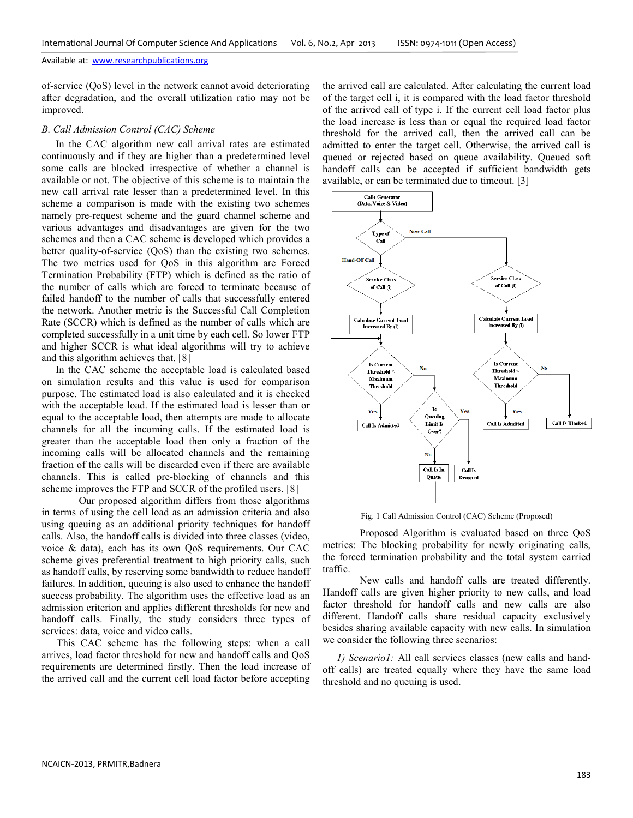of-service (QoS) level in the network cannot avoid deteriorating after degradation, and the overall utilization ratio may not be improved.

#### *B. Call Admission Control (CAC) Scheme*

In the CAC algorithm new call arrival rates are estimated continuously and if they are higher than a predetermined level some calls are blocked irrespective of whether a channel is available or not. The objective of this scheme is to maintain the new call arrival rate lesser than a predetermined level. In this scheme a comparison is made with the existing two schemes namely pre-request scheme and the guard channel scheme and various advantages and disadvantages are given for the two schemes and then a CAC scheme is developed which provides a better quality-of-service (QoS) than the existing two schemes. The two metrics used for QoS in this algorithm are Forced Termination Probability (FTP) which is defined as the ratio of the number of calls which are forced to terminate because of failed handoff to the number of calls that successfully entered the network. Another metric is the Successful Call Completion Rate (SCCR) which is defined as the number of calls which are completed successfully in a unit time by each cell. So lower FTP and higher SCCR is what ideal algorithms will try to achieve and this algorithm achieves that. [8]

In the CAC scheme the acceptable load is calculated based on simulation results and this value is used for comparison purpose. The estimated load is also calculated and it is checked with the acceptable load. If the estimated load is lesser than or equal to the acceptable load, then attempts are made to allocate channels for all the incoming calls. If the estimated load is greater than the acceptable load then only a fraction of the incoming calls will be allocated channels and the remaining fraction of the calls will be discarded even if there are available channels. This is called pre-blocking of channels and this scheme improves the FTP and SCCR of the profiled users. [8]

 Our proposed algorithm differs from those algorithms in terms of using the cell load as an admission criteria and also using queuing as an additional priority techniques for handoff calls. Also, the handoff calls is divided into three classes (video, voice & data), each has its own QoS requirements. Our CAC scheme gives preferential treatment to high priority calls, such as handoff calls, by reserving some bandwidth to reduce handoff failures. In addition, queuing is also used to enhance the handoff success probability. The algorithm uses the effective load as an admission criterion and applies different thresholds for new and handoff calls. Finally, the study considers three types of services: data, voice and video calls.

This CAC scheme has the following steps: when a call arrives, load factor threshold for new and handoff calls and QoS requirements are determined firstly. Then the load increase of the arrived call and the current cell load factor before accepting

the arrived call are calculated. After calculating the current load of the target cell i, it is compared with the load factor threshold of the arrived call of type i. If the current cell load factor plus the load increase is less than or equal the required load factor threshold for the arrived call, then the arrived call can be admitted to enter the target cell. Otherwise, the arrived call is queued or rejected based on queue availability. Queued soft handoff calls can be accepted if sufficient bandwidth gets available, or can be terminated due to timeout. [3]



Fig. 1 Call Admission Control (CAC) Scheme (Proposed)

 Proposed Algorithm is evaluated based on three QoS metrics: The blocking probability for newly originating calls, the forced termination probability and the total system carried traffic.

 New calls and handoff calls are treated differently. Handoff calls are given higher priority to new calls, and load factor threshold for handoff calls and new calls are also different. Handoff calls share residual capacity exclusively besides sharing available capacity with new calls. In simulation we consider the following three scenarios:

*1) Scenario1:* All call services classes (new calls and handoff calls) are treated equally where they have the same load threshold and no queuing is used.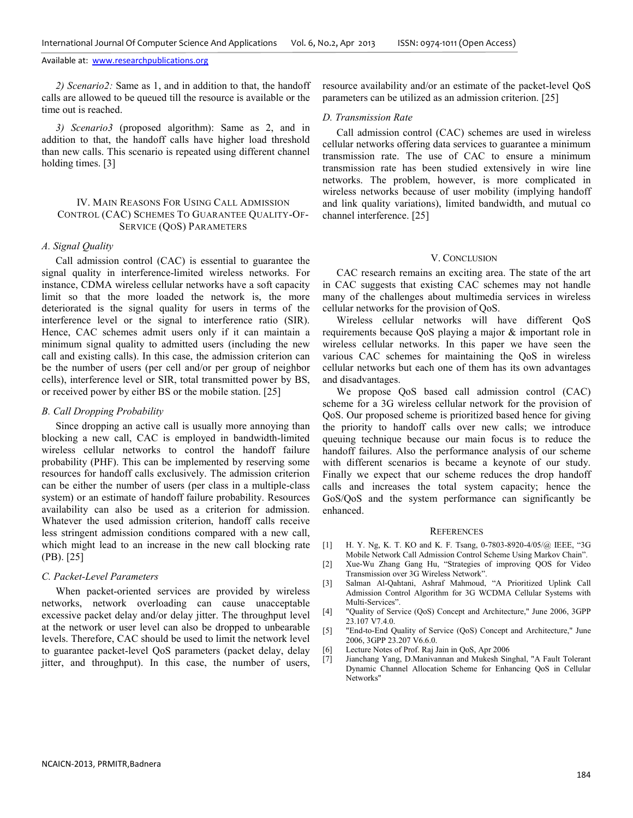*2) Scenario2:* Same as 1, and in addition to that, the handoff calls are allowed to be queued till the resource is available or the time out is reached.

*3) Scenario3* (proposed algorithm): Same as 2, and in addition to that, the handoff calls have higher load threshold than new calls. This scenario is repeated using different channel holding times. [3]

## IV. MAIN REASONS FOR USING CALL ADMISSION CONTROL (CAC) SCHEMES TO GUARANTEE QUALITY-OF-SERVICE (QOS) PARAMETERS

#### *A. Signal Quality*

Call admission control (CAC) is essential to guarantee the signal quality in interference-limited wireless networks. For instance, CDMA wireless cellular networks have a soft capacity limit so that the more loaded the network is, the more deteriorated is the signal quality for users in terms of the interference level or the signal to interference ratio (SIR). Hence, CAC schemes admit users only if it can maintain a minimum signal quality to admitted users (including the new call and existing calls). In this case, the admission criterion can be the number of users (per cell and/or per group of neighbor cells), interference level or SIR, total transmitted power by BS, or received power by either BS or the mobile station. [25]

#### *B. Call Dropping Probability*

Since dropping an active call is usually more annoying than blocking a new call, CAC is employed in bandwidth-limited wireless cellular networks to control the handoff failure probability (PHF). This can be implemented by reserving some resources for handoff calls exclusively. The admission criterion can be either the number of users (per class in a multiple-class system) or an estimate of handoff failure probability. Resources availability can also be used as a criterion for admission. Whatever the used admission criterion, handoff calls receive less stringent admission conditions compared with a new call, which might lead to an increase in the new call blocking rate (PB). [25]

#### *C. Packet-Level Parameters*

When packet-oriented services are provided by wireless networks, network overloading can cause unacceptable excessive packet delay and/or delay jitter. The throughput level at the network or user level can also be dropped to unbearable levels. Therefore, CAC should be used to limit the network level to guarantee packet-level QoS parameters (packet delay, delay jitter, and throughput). In this case, the number of users,

resource availability and/or an estimate of the packet-level QoS parameters can be utilized as an admission criterion. [25]

#### *D. Transmission Rate*

Call admission control (CAC) schemes are used in wireless cellular networks offering data services to guarantee a minimum transmission rate. The use of CAC to ensure a minimum transmission rate has been studied extensively in wire line networks. The problem, however, is more complicated in wireless networks because of user mobility (implying handoff and link quality variations), limited bandwidth, and mutual co channel interference. [25]

## V. CONCLUSION

CAC research remains an exciting area. The state of the art in CAC suggests that existing CAC schemes may not handle many of the challenges about multimedia services in wireless cellular networks for the provision of QoS.

Wireless cellular networks will have different QoS requirements because QoS playing a major & important role in wireless cellular networks. In this paper we have seen the various CAC schemes for maintaining the QoS in wireless cellular networks but each one of them has its own advantages and disadvantages.

We propose QoS based call admission control (CAC) scheme for a 3G wireless cellular network for the provision of QoS. Our proposed scheme is prioritized based hence for giving the priority to handoff calls over new calls; we introduce queuing technique because our main focus is to reduce the handoff failures. Also the performance analysis of our scheme with different scenarios is became a keynote of our study. Finally we expect that our scheme reduces the drop handoff calls and increases the total system capacity; hence the GoS/QoS and the system performance can significantly be enhanced.

#### **REFERENCES**

- [1] H. Y. Ng, K. T. KO and K. F. Tsang, 0-7803-8920-4/05/@ IEEE, "3G Mobile Network Call Admission Control Scheme Using Markov Chain".
- [2] Xue-Wu Zhang Gang Hu, "Strategies of improving QOS for Video Transmission over 3G Wireless Network".
- [3] Salman Al-Qahtani, Ashraf Mahmoud, "A Prioritized Uplink Call Admission Control Algorithm for 3G WCDMA Cellular Systems with Multi-Services".
- [4] "Quality of Service (QoS) Concept and Architecture," June 2006, 3GPP 23.107 V7.4.0.
- [5] "End-to-End Quality of Service (QoS) Concept and Architecture," June 2006, 3GPP 23.207 V6.6.0.
- [6] Lecture Notes of Prof. Raj Jain in QoS, Apr 2006
- [7] Jianchang Yang, D.Manivannan and Mukesh Singhal, "A Fault Tolerant Dynamic Channel Allocation Scheme for Enhancing QoS in Cellular Networks"